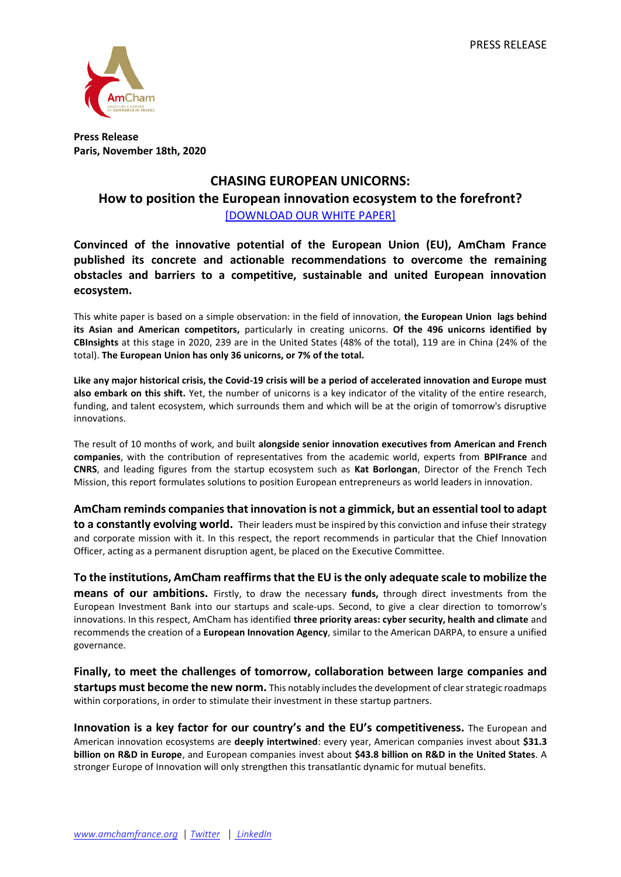

**Press Release Paris, November 18th, 2020**

## **CHASING EUROPEAN UNICORNS: How to position the European innovation ecosystem to the forefront?** [\[DOWNLOAD OUR WHITE PAPER\]](http://amchamfrance.org/wp-content/uploads/2020/11/AmCham-%E2%80%93-CHASING-EUROPEAN-UNICORNS-%E2%80%93-digital.pdf)

**Convinced of the innovative potential of the European Union (EU), AmCham France published its concrete and actionable recommendations to overcome the remaining obstacles and barriers to a competitive, sustainable and united European innovation ecosystem.**

This white paper is based on a simple observation: in the field of innovation, **the European Union lags behind its Asian and American competitors,** particularly in creating unicorns. **Of the 496 unicorns identified by CBInsights** at this stage in 2020, 239 are in the United States (48% of the total), 119 are in China (24% of the total). **The European Union has only 36 unicorns, or 7% of the total.**

**Like any major historical crisis, the Covid-19 crisis will be a period of accelerated innovation and Europe must also embark on this shift.** Yet, the number of unicorns is a key indicator of the vitality of the entire research, funding, and talent ecosystem, which surrounds them and which will be at the origin of tomorrow's disruptive innovations.

The result of 10 months of work, and built **alongside senior innovation executives from American and French companies**, with the contribution of representatives from the academic world, experts from **BPIFrance** and **CNRS**, and leading figures from the startup ecosystem such as **Kat Borlongan**, Director of the French Tech Mission, this report formulates solutions to position European entrepreneurs as world leaders in innovation.

**AmCham reminds companies that innovation is not a gimmick, but an essential tool to adapt to a constantly evolving world.** Their leaders must be inspired by this conviction and infuse their strategy and corporate mission with it. In this respect, the report recommends in particular that the Chief Innovation Officer, acting as a permanent disruption agent, be placed on the Executive Committee.

**To the institutions, AmCham reaffirms that the EU is the only adequate scale to mobilize the means of our ambitions.** Firstly, to draw the necessary **funds,** through direct investments from the European Investment Bank into our startups and scale-ups. Second, to give a clear direction to tomorrow's innovations. In this respect, AmCham has identified **three priority areas: cyber security, health and climate** and recommends the creation of a **European Innovation Agency**, similar to the American DARPA, to ensure a unified governance.

**Finally, to meet the challenges of tomorrow, collaboration between large companies and startups must become the new norm.** This notably includes the development of clear strategic roadmaps within corporations, in order to stimulate their investment in these startup partners.

**Innovation is a key factor for our country's and the EU's competitiveness.** The European and American innovation ecosystems are **deeply intertwined**: every year, American companies invest about **\$31.3 billion on R&D in Europe**, and European companies invest about **\$43.8 billion on R&D in the United States**. A stronger Europe of Innovation will only strengthen this transatlantic dynamic for mutual benefits.